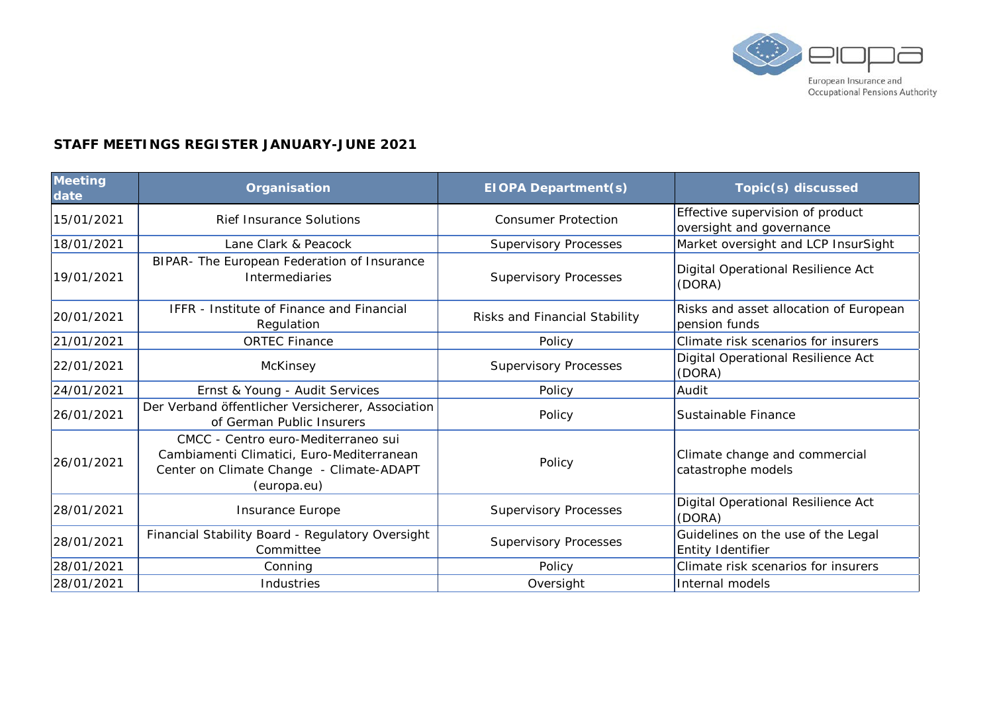

## **STAFF MEETINGS REGISTER JANUARY-JUNE 2021**

| Meeting<br>date | Organisation                                                                                                                                | <b>EIOPA Department(s)</b>    | Topic(s) discussed                                           |
|-----------------|---------------------------------------------------------------------------------------------------------------------------------------------|-------------------------------|--------------------------------------------------------------|
| 15/01/2021      | <b>Rief Insurance Solutions</b>                                                                                                             | <b>Consumer Protection</b>    | Effective supervision of product<br>oversight and governance |
| 18/01/2021      | Lane Clark & Peacock                                                                                                                        | <b>Supervisory Processes</b>  | Market oversight and LCP InsurSight                          |
| 19/01/2021      | BIPAR- The European Federation of Insurance<br><b>Intermediaries</b>                                                                        | <b>Supervisory Processes</b>  | Digital Operational Resilience Act<br>(DORA)                 |
| 20/01/2021      | <b>IFFR</b> - Institute of Finance and Financial<br>Regulation                                                                              | Risks and Financial Stability | Risks and asset allocation of European<br>pension funds      |
| 21/01/2021      | <b>ORTEC Finance</b>                                                                                                                        | Policy                        | Climate risk scenarios for insurers                          |
| 22/01/2021      | McKinsey                                                                                                                                    | <b>Supervisory Processes</b>  | Digital Operational Resilience Act<br>(DORA)                 |
| 24/01/2021      | Ernst & Young - Audit Services                                                                                                              | Policy                        | Audit                                                        |
| 26/01/2021      | Der Verband öffentlicher Versicherer, Association<br>of German Public Insurers                                                              | Policy                        | Sustainable Finance                                          |
| 26/01/2021      | CMCC - Centro euro-Mediterraneo sui<br>Cambiamenti Climatici, Euro-Mediterranean<br>Center on Climate Change - Climate-ADAPT<br>(europa.eu) | Policy                        | Climate change and commercial<br>catastrophe models          |
| 28/01/2021      | Insurance Europe                                                                                                                            | <b>Supervisory Processes</b>  | Digital Operational Resilience Act<br>(DORA)                 |
| 28/01/2021      | Financial Stability Board - Regulatory Oversight<br>Committee                                                                               | <b>Supervisory Processes</b>  | Guidelines on the use of the Legal<br>Entity Identifier      |
| 28/01/2021      | Conning                                                                                                                                     | Policy                        | Climate risk scenarios for insurers                          |
| 28/01/2021      | Industries                                                                                                                                  | Oversight                     | Internal models                                              |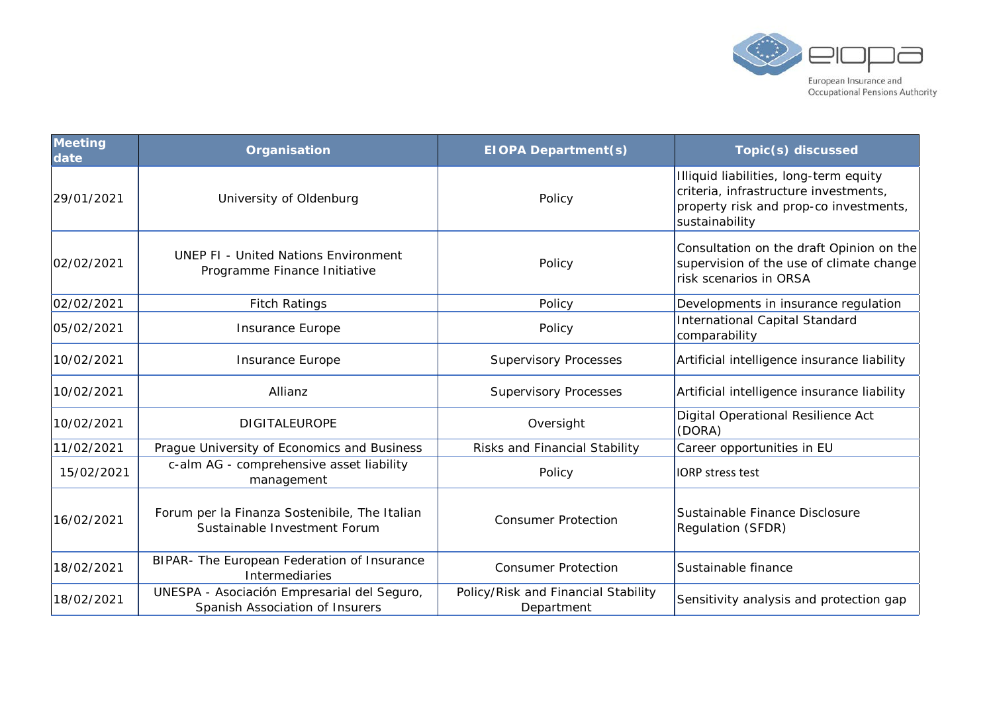

| Meeting<br>date | Organisation                                                                   | <b>EIOPA Department(s)</b>                        | Topic(s) discussed                                                                                                                          |
|-----------------|--------------------------------------------------------------------------------|---------------------------------------------------|---------------------------------------------------------------------------------------------------------------------------------------------|
| 29/01/2021      | University of Oldenburg                                                        | Policy                                            | Illiquid liabilities, long-term equity<br>criteria, infrastructure investments,<br>property risk and prop-co investments,<br>sustainability |
| 02/02/2021      | <b>UNEP FI - United Nations Environment</b><br>Programme Finance Initiative    | Policy                                            | Consultation on the draft Opinion on the<br>supervision of the use of climate change<br>risk scenarios in ORSA                              |
| 02/02/2021      | <b>Fitch Ratings</b>                                                           | Policy                                            | Developments in insurance regulation                                                                                                        |
| 05/02/2021      | Insurance Europe                                                               | Policy                                            | <b>International Capital Standard</b><br>comparability                                                                                      |
| 10/02/2021      | <b>Insurance Europe</b>                                                        | <b>Supervisory Processes</b>                      | Artificial intelligence insurance liability                                                                                                 |
| 10/02/2021      | Allianz                                                                        | <b>Supervisory Processes</b>                      | Artificial intelligence insurance liability                                                                                                 |
| 10/02/2021      | <b>DIGITALEUROPE</b>                                                           | Oversight                                         | Digital Operational Resilience Act<br>(DORA)                                                                                                |
| 11/02/2021      | Prague University of Economics and Business                                    | Risks and Financial Stability                     | Career opportunities in EU                                                                                                                  |
| 15/02/2021      | c-alm AG - comprehensive asset liability<br>management                         | Policy                                            | <b>IORP</b> stress test                                                                                                                     |
| 16/02/2021      | Forum per la Finanza Sostenibile, The Italian<br>Sustainable Investment Forum  | <b>Consumer Protection</b>                        | Sustainable Finance Disclosure<br>Regulation (SFDR)                                                                                         |
| 18/02/2021      | BIPAR- The European Federation of Insurance<br><b>Intermediaries</b>           | <b>Consumer Protection</b>                        | Sustainable finance                                                                                                                         |
| 18/02/2021      | UNESPA - Asociación Empresarial del Seguro,<br>Spanish Association of Insurers | Policy/Risk and Financial Stability<br>Department | Sensitivity analysis and protection gap                                                                                                     |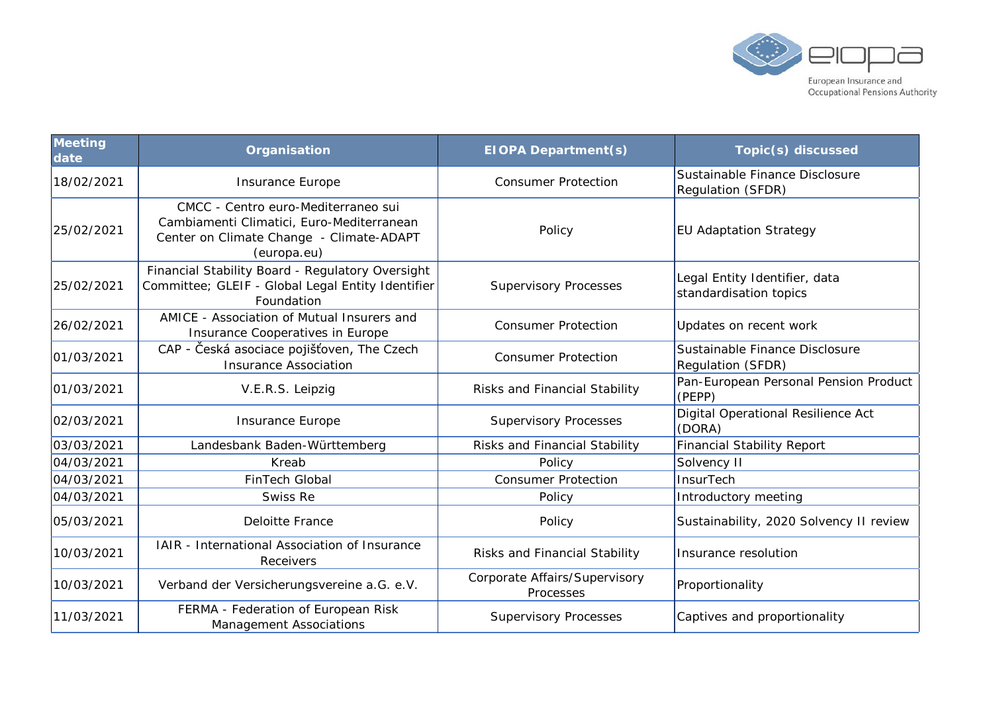

| Meeting<br>date | Organisation                                                                                                                                | <b>EIOPA Department(s)</b>                 | Topic(s) discussed                                      |
|-----------------|---------------------------------------------------------------------------------------------------------------------------------------------|--------------------------------------------|---------------------------------------------------------|
| 18/02/2021      | Insurance Europe                                                                                                                            | <b>Consumer Protection</b>                 | Sustainable Finance Disclosure<br>Regulation (SFDR)     |
| 25/02/2021      | CMCC - Centro euro-Mediterraneo sui<br>Cambiamenti Climatici, Euro-Mediterranean<br>Center on Climate Change - Climate-ADAPT<br>(europa.eu) | Policy                                     | <b>EU Adaptation Strategy</b>                           |
| 25/02/2021      | Financial Stability Board - Regulatory Oversight<br>Committee; GLEIF - Global Legal Entity Identifier<br>Foundation                         | <b>Supervisory Processes</b>               | Legal Entity Identifier, data<br>standardisation topics |
| 26/02/2021      | AMICE - Association of Mutual Insurers and<br>Insurance Cooperatives in Europe                                                              | <b>Consumer Protection</b>                 | Updates on recent work                                  |
| 01/03/2021      | CAP - Česká asociace pojišťoven, The Czech<br><b>Insurance Association</b>                                                                  | <b>Consumer Protection</b>                 | Sustainable Finance Disclosure<br>Regulation (SFDR)     |
| 01/03/2021      | V.E.R.S. Leipzig                                                                                                                            | Risks and Financial Stability              | Pan-European Personal Pension Product<br>(PEPP)         |
| 02/03/2021      | Insurance Europe                                                                                                                            | <b>Supervisory Processes</b>               | Digital Operational Resilience Act<br>(DORA)            |
| 03/03/2021      | Landesbank Baden-Württemberg                                                                                                                | Risks and Financial Stability              | <b>Financial Stability Report</b>                       |
| 04/03/2021      | Kreab                                                                                                                                       | Policy                                     | Solvency II                                             |
| 04/03/2021      | <b>FinTech Global</b>                                                                                                                       | <b>Consumer Protection</b>                 | <b>InsurTech</b>                                        |
| 04/03/2021      | Swiss Re                                                                                                                                    | Policy                                     | Introductory meeting                                    |
| 05/03/2021      | <b>Deloitte France</b>                                                                                                                      | Policy                                     | Sustainability, 2020 Solvency II review                 |
| 10/03/2021      | IAIR - International Association of Insurance<br>Receivers                                                                                  | Risks and Financial Stability              | Insurance resolution                                    |
| 10/03/2021      | Verband der Versicherungsvereine a.G. e.V.                                                                                                  | Corporate Affairs/Supervisory<br>Processes | Proportionality                                         |
| 11/03/2021      | FERMA - Federation of European Risk<br><b>Management Associations</b>                                                                       | <b>Supervisory Processes</b>               | Captives and proportionality                            |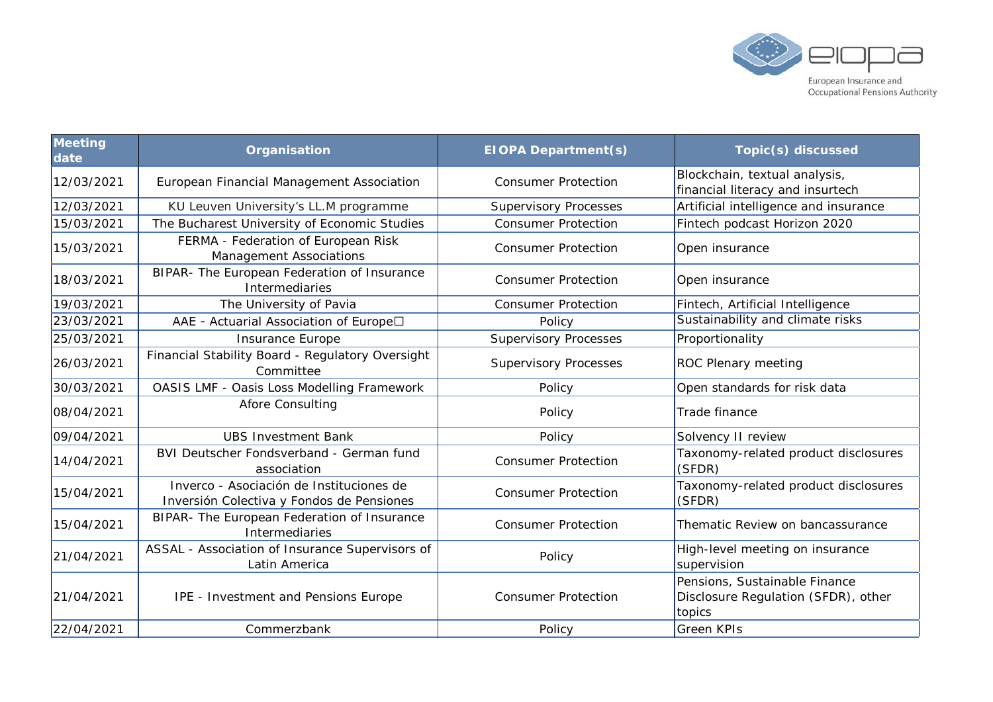

| <b>Meeting</b><br>date | Organisation                                                                          | <b>EIOPA Department(s)</b>   | Topic(s) discussed                                                             |
|------------------------|---------------------------------------------------------------------------------------|------------------------------|--------------------------------------------------------------------------------|
| 12/03/2021             | European Financial Management Association                                             | <b>Consumer Protection</b>   | Blockchain, textual analysis,<br>financial literacy and insurtech              |
| 12/03/2021             | KU Leuven University's LL.M programme                                                 | <b>Supervisory Processes</b> | Artificial intelligence and insurance                                          |
| 15/03/2021             | The Bucharest University of Economic Studies                                          | <b>Consumer Protection</b>   | Fintech podcast Horizon 2020                                                   |
| 15/03/2021             | FERMA - Federation of European Risk<br><b>Management Associations</b>                 | <b>Consumer Protection</b>   | Open insurance                                                                 |
| 18/03/2021             | BIPAR- The European Federation of Insurance<br>Intermediaries                         | <b>Consumer Protection</b>   | Open insurance                                                                 |
| 19/03/2021             | The University of Pavia                                                               | <b>Consumer Protection</b>   | Fintech, Artificial Intelligence                                               |
| 23/03/2021             | AAE - Actuarial Association of Europe□                                                | Policy                       | Sustainability and climate risks                                               |
| 25/03/2021             | Insurance Europe                                                                      | <b>Supervisory Processes</b> | Proportionality                                                                |
| 26/03/2021             | Financial Stability Board - Regulatory Oversight<br>Committee                         | <b>Supervisory Processes</b> | ROC Plenary meeting                                                            |
| 30/03/2021             | OASIS LMF - Oasis Loss Modelling Framework                                            | Policy                       | Open standards for risk data                                                   |
| 08/04/2021             | <b>Afore Consulting</b>                                                               | Policy                       | Trade finance                                                                  |
| 09/04/2021             | <b>UBS Investment Bank</b>                                                            | Policy                       | Solvency II review                                                             |
| 14/04/2021             | BVI Deutscher Fondsverband - German fund<br>association                               | <b>Consumer Protection</b>   | Taxonomy-related product disclosures<br>(SFDR)                                 |
| 15/04/2021             | Inverco - Asociación de Instituciones de<br>Inversión Colectiva y Fondos de Pensiones | <b>Consumer Protection</b>   | Taxonomy-related product disclosures<br>(SFDR)                                 |
| 15/04/2021             | BIPAR- The European Federation of Insurance<br><b>Intermediaries</b>                  | <b>Consumer Protection</b>   | Thematic Review on bancassurance                                               |
| 21/04/2021             | ASSAL - Association of Insurance Supervisors of<br>Latin America                      | Policy                       | High-level meeting on insurance<br>supervision                                 |
| 21/04/2021             | IPE - Investment and Pensions Europe                                                  | <b>Consumer Protection</b>   | Pensions, Sustainable Finance<br>Disclosure Regulation (SFDR), other<br>topics |
| 22/04/2021             | Commerzbank                                                                           | Policy                       | <b>Green KPIs</b>                                                              |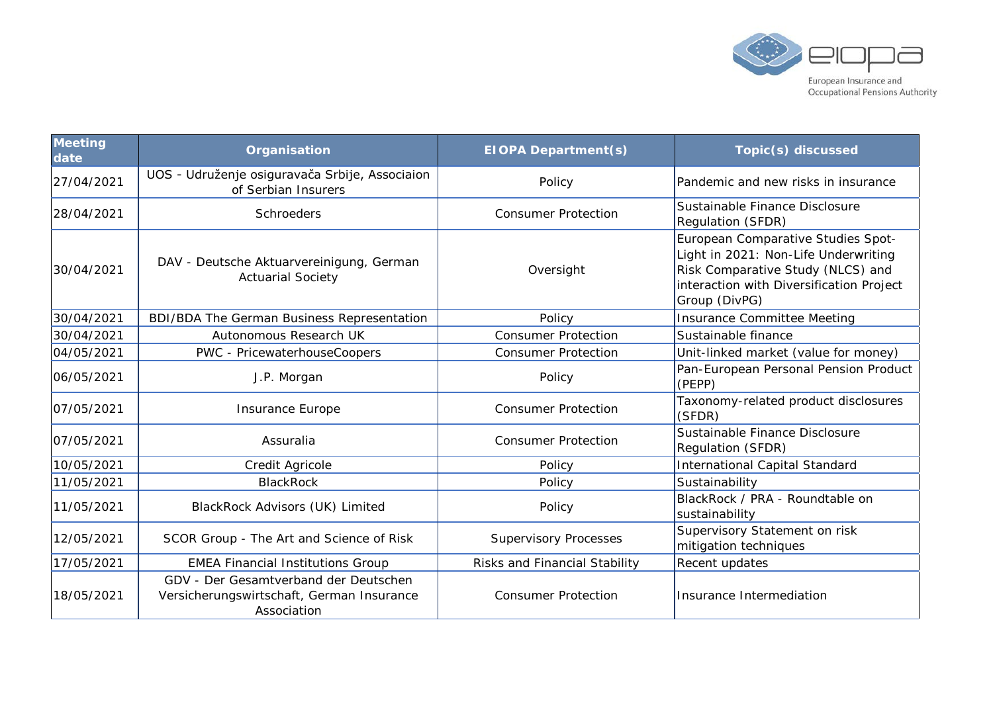

| <b>Meeting</b><br>date | Organisation                                                                                      | <b>EIOPA Department(s)</b>    | Topic(s) discussed                                                                                                                                                           |
|------------------------|---------------------------------------------------------------------------------------------------|-------------------------------|------------------------------------------------------------------------------------------------------------------------------------------------------------------------------|
| 27/04/2021             | UOS - Udruženje osiguravača Srbije, Associaion<br>of Serbian Insurers                             | Policy                        | Pandemic and new risks in insurance                                                                                                                                          |
| 28/04/2021             | <b>Schroeders</b>                                                                                 | <b>Consumer Protection</b>    | Sustainable Finance Disclosure<br><b>Regulation (SFDR)</b>                                                                                                                   |
| 30/04/2021             | DAV - Deutsche Aktuarvereinigung, German<br><b>Actuarial Society</b>                              | Oversight                     | European Comparative Studies Spot-<br>Light in 2021: Non-Life Underwriting<br>Risk Comparative Study (NLCS) and<br>interaction with Diversification Project<br>Group (DivPG) |
| 30/04/2021             | <b>BDI/BDA The German Business Representation</b>                                                 | Policy                        | Insurance Committee Meeting                                                                                                                                                  |
| 30/04/2021             | Autonomous Research UK                                                                            | <b>Consumer Protection</b>    | Sustainable finance                                                                                                                                                          |
| 04/05/2021             | PWC - PricewaterhouseCoopers                                                                      | <b>Consumer Protection</b>    | Unit-linked market (value for money)                                                                                                                                         |
| 06/05/2021             | J.P. Morgan                                                                                       | Policy                        | Pan-European Personal Pension Product<br>(PEPP)                                                                                                                              |
| 07/05/2021             | Insurance Europe                                                                                  | <b>Consumer Protection</b>    | Taxonomy-related product disclosures<br>(SFDR)                                                                                                                               |
| 07/05/2021             | Assuralia                                                                                         | <b>Consumer Protection</b>    | Sustainable Finance Disclosure<br>Regulation (SFDR)                                                                                                                          |
| 10/05/2021             | Credit Agricole                                                                                   | Policy                        | International Capital Standard                                                                                                                                               |
| 11/05/2021             | <b>BlackRock</b>                                                                                  | Policy                        | Sustainability                                                                                                                                                               |
| 11/05/2021             | BlackRock Advisors (UK) Limited                                                                   | Policy                        | BlackRock / PRA - Roundtable on<br>sustainability                                                                                                                            |
| 12/05/2021             | SCOR Group - The Art and Science of Risk                                                          | <b>Supervisory Processes</b>  | Supervisory Statement on risk<br>mitigation techniques                                                                                                                       |
| 17/05/2021             | <b>EMEA Financial Institutions Group</b>                                                          | Risks and Financial Stability | Recent updates                                                                                                                                                               |
| 18/05/2021             | GDV - Der Gesamtverband der Deutschen<br>Versicherungswirtschaft, German Insurance<br>Association | <b>Consumer Protection</b>    | Insurance Intermediation                                                                                                                                                     |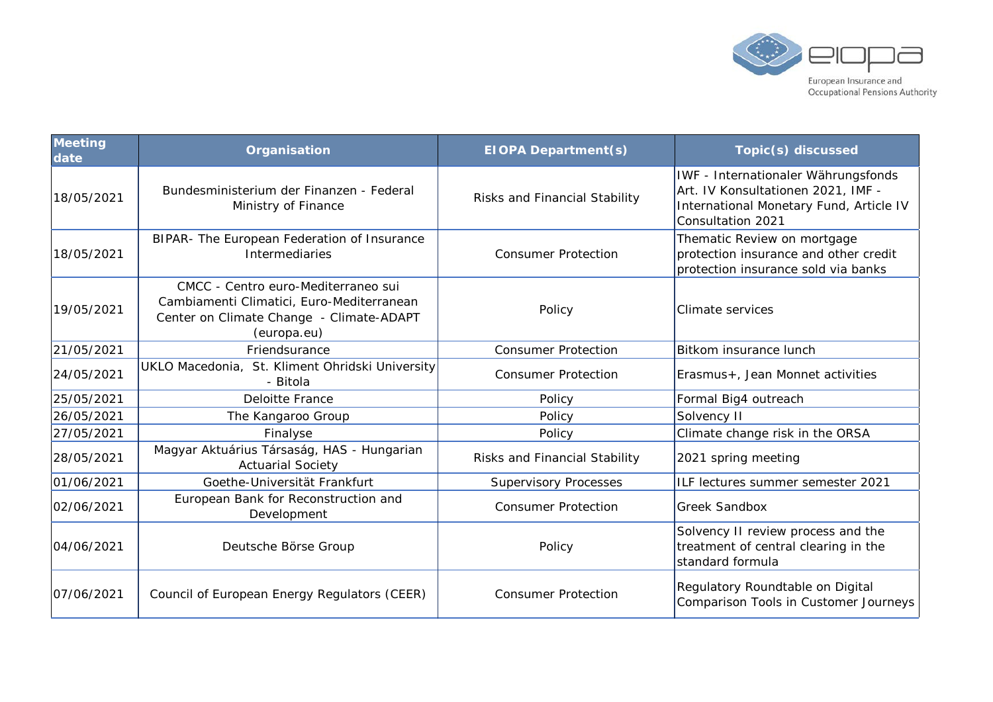

| Meeting<br>date | Organisation                                                                                                                                | <b>EIOPA Department(s)</b>    | Topic(s) discussed                                                                                                                        |
|-----------------|---------------------------------------------------------------------------------------------------------------------------------------------|-------------------------------|-------------------------------------------------------------------------------------------------------------------------------------------|
| 18/05/2021      | Bundesministerium der Finanzen - Federal<br>Ministry of Finance                                                                             | Risks and Financial Stability | IWF - Internationaler Währungsfonds<br>Art. IV Konsultationen 2021, IMF -<br>International Monetary Fund, Article IV<br>Consultation 2021 |
| 18/05/2021      | BIPAR- The European Federation of Insurance<br>Intermediaries                                                                               | <b>Consumer Protection</b>    | Thematic Review on mortgage<br>protection insurance and other credit<br>protection insurance sold via banks                               |
| 19/05/2021      | CMCC - Centro euro-Mediterraneo sui<br>Cambiamenti Climatici, Euro-Mediterranean<br>Center on Climate Change - Climate-ADAPT<br>(europa.eu) | Policy                        | Climate services                                                                                                                          |
| 21/05/2021      | Friendsurance                                                                                                                               | <b>Consumer Protection</b>    | Bitkom insurance lunch                                                                                                                    |
| 24/05/2021      | UKLO Macedonia, St. Kliment Ohridski University<br>- Bitola                                                                                 | <b>Consumer Protection</b>    | Erasmus+, Jean Monnet activities                                                                                                          |
| 25/05/2021      | <b>Deloitte France</b>                                                                                                                      | Policy                        | Formal Big4 outreach                                                                                                                      |
| 26/05/2021      | The Kangaroo Group                                                                                                                          | Policy                        | Solvency II                                                                                                                               |
| 27/05/2021      | Finalyse                                                                                                                                    | Policy                        | Climate change risk in the ORSA                                                                                                           |
| 28/05/2021      | Magyar Aktuárius Társaság, HAS - Hungarian<br><b>Actuarial Society</b>                                                                      | Risks and Financial Stability | 2021 spring meeting                                                                                                                       |
| 01/06/2021      | Goethe-Universität Frankfurt                                                                                                                | <b>Supervisory Processes</b>  | ILF lectures summer semester 2021                                                                                                         |
| 02/06/2021      | European Bank for Reconstruction and<br>Development                                                                                         | <b>Consumer Protection</b>    | <b>Greek Sandbox</b>                                                                                                                      |
| 04/06/2021      | Deutsche Börse Group                                                                                                                        | Policy                        | Solvency II review process and the<br>treatment of central clearing in the<br>standard formula                                            |
| 07/06/2021      | Council of European Energy Regulators (CEER)                                                                                                | <b>Consumer Protection</b>    | Regulatory Roundtable on Digital<br>Comparison Tools in Customer Journeys                                                                 |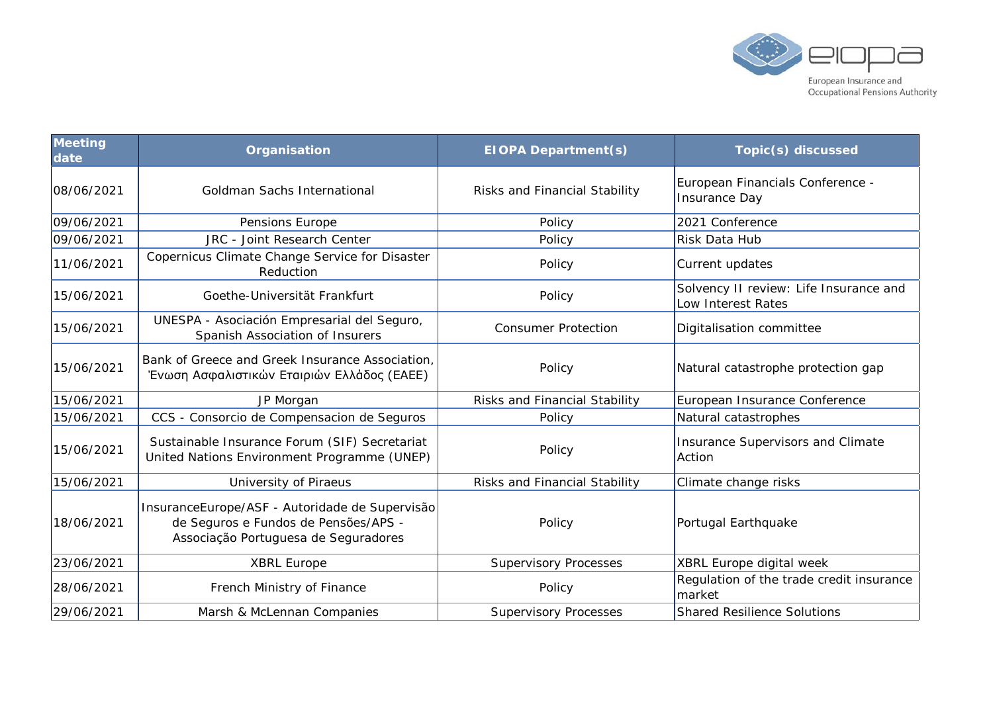

| <b>Meeting</b><br>date | Organisation                                                                                                                   | <b>EIOPA Department(s)</b>    | <b>Topic(s) discussed</b>                                    |
|------------------------|--------------------------------------------------------------------------------------------------------------------------------|-------------------------------|--------------------------------------------------------------|
| 08/06/2021             | Goldman Sachs International                                                                                                    | Risks and Financial Stability | European Financials Conference -<br><b>Insurance Day</b>     |
| 09/06/2021             | Pensions Europe                                                                                                                | Policy                        | 2021 Conference                                              |
| 09/06/2021             | <b>JRC</b> - Joint Research Center                                                                                             | Policy                        | Risk Data Hub                                                |
| 11/06/2021             | Copernicus Climate Change Service for Disaster<br>Reduction                                                                    | Policy                        | Current updates                                              |
| 15/06/2021             | Goethe-Universität Frankfurt                                                                                                   | Policy                        | Solvency II review: Life Insurance and<br>Low Interest Rates |
| 15/06/2021             | UNESPA - Asociación Empresarial del Seguro,<br>Spanish Association of Insurers                                                 | <b>Consumer Protection</b>    | Digitalisation committee                                     |
| 15/06/2021             | Bank of Greece and Greek Insurance Association,<br>Ένωση Ασφαλιστικών Εταιριών Ελλάδος (ΕΑΕΕ)                                  | Policy                        | Natural catastrophe protection gap                           |
| 15/06/2021             | JP Morgan                                                                                                                      | Risks and Financial Stability | European Insurance Conference                                |
| 15/06/2021             | CCS - Consorcio de Compensacion de Seguros                                                                                     | Policy                        | Natural catastrophes                                         |
| 15/06/2021             | Sustainable Insurance Forum (SIF) Secretariat<br>United Nations Environment Programme (UNEP)                                   | Policy                        | Insurance Supervisors and Climate<br>Action                  |
| 15/06/2021             | University of Piraeus                                                                                                          | Risks and Financial Stability | Climate change risks                                         |
| 18/06/2021             | InsuranceEurope/ASF - Autoridade de Supervisão<br>de Seguros e Fundos de Pensões/APS -<br>Associação Portuguesa de Seguradores | Policy                        | Portugal Earthquake                                          |
| 23/06/2021             | <b>XBRL Europe</b>                                                                                                             | <b>Supervisory Processes</b>  | XBRL Europe digital week                                     |
| 28/06/2021             | French Ministry of Finance                                                                                                     | Policy                        | Regulation of the trade credit insurance<br>market           |
| 29/06/2021             | Marsh & McLennan Companies                                                                                                     | <b>Supervisory Processes</b>  | <b>Shared Resilience Solutions</b>                           |